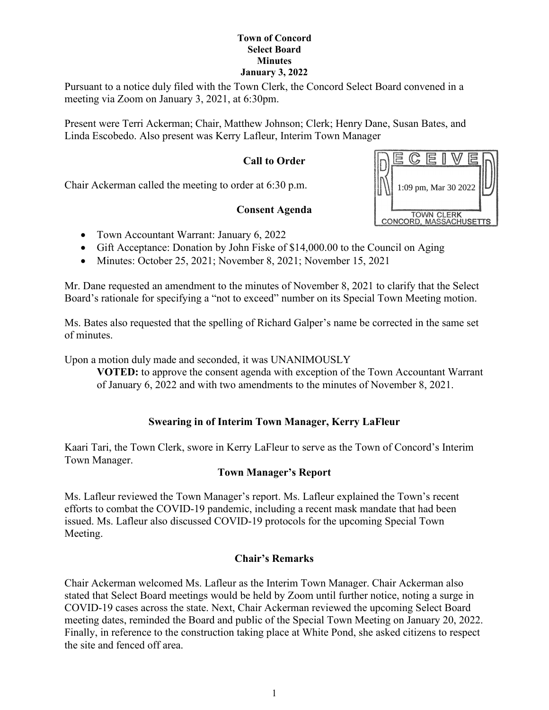Pursuant to a notice duly filed with the Town Clerk, the Concord Select Board convened in a meeting via Zoom on January 3, 2021, at 6:30pm.

Present were Terri Ackerman; Chair, Matthew Johnson; Clerk; Henry Dane, Susan Bates, and Linda Escobedo. Also present was Kerry Lafleur, Interim Town Manager

# **Call to Order**

Chair Ackerman called the meeting to order at 6:30 p.m.

## **Consent Agenda**

- Town Accountant Warrant: January 6, 2022
- Gift Acceptance: Donation by John Fiske of \$14,000.00 to the Council on Aging
- Minutes: October 25, 2021; November 8, 2021; November 15, 2021

Mr. Dane requested an amendment to the minutes of November 8, 2021 to clarify that the Select Board's rationale for specifying a "not to exceed" number on its Special Town Meeting motion.

Ms. Bates also requested that the spelling of Richard Galper's name be corrected in the same set of minutes.

Upon a motion duly made and seconded, it was UNANIMOUSLY

**VOTED:** to approve the consent agenda with exception of the Town Accountant Warrant of January 6, 2022 and with two amendments to the minutes of November 8, 2021.

## **Swearing in of Interim Town Manager, Kerry LaFleur**

Kaari Tari, the Town Clerk, swore in Kerry LaFleur to serve as the Town of Concord's Interim Town Manager.

## **Town Manager's Report**

Ms. Lafleur reviewed the Town Manager's report. Ms. Lafleur explained the Town's recent efforts to combat the COVID-19 pandemic, including a recent mask mandate that had been issued. Ms. Lafleur also discussed COVID-19 protocols for the upcoming Special Town Meeting.

## **Chair's Remarks**

Chair Ackerman welcomed Ms. Lafleur as the Interim Town Manager. Chair Ackerman also stated that Select Board meetings would be held by Zoom until further notice, noting a surge in COVID-19 cases across the state. Next, Chair Ackerman reviewed the upcoming Select Board meeting dates, reminded the Board and public of the Special Town Meeting on January 20, 2022. Finally, in reference to the construction taking place at White Pond, she asked citizens to respect the site and fenced off area.

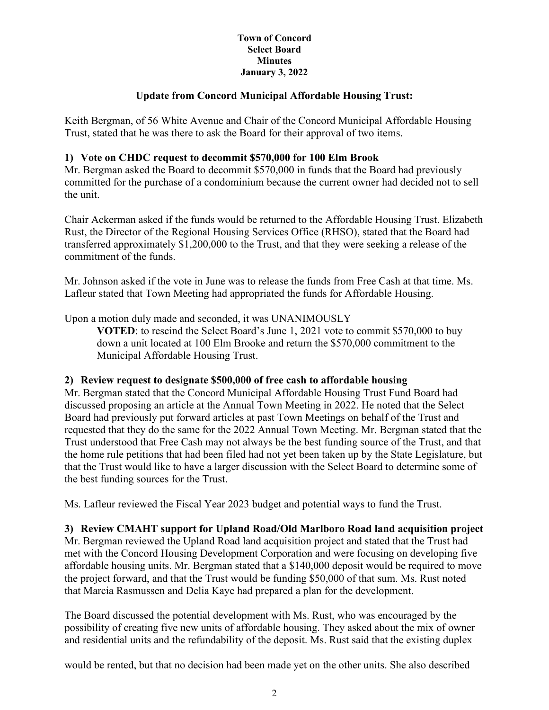## **Update from Concord Municipal Affordable Housing Trust:**

Keith Bergman, of 56 White Avenue and Chair of the Concord Municipal Affordable Housing Trust, stated that he was there to ask the Board for their approval of two items.

#### **1) Vote on CHDC request to decommit \$570,000 for 100 Elm Brook**

Mr. Bergman asked the Board to decommit \$570,000 in funds that the Board had previously committed for the purchase of a condominium because the current owner had decided not to sell the unit.

Chair Ackerman asked if the funds would be returned to the Affordable Housing Trust. Elizabeth Rust, the Director of the Regional Housing Services Office (RHSO), stated that the Board had transferred approximately \$1,200,000 to the Trust, and that they were seeking a release of the commitment of the funds.

Mr. Johnson asked if the vote in June was to release the funds from Free Cash at that time. Ms. Lafleur stated that Town Meeting had appropriated the funds for Affordable Housing.

Upon a motion duly made and seconded, it was UNANIMOUSLY

**VOTED**: to rescind the Select Board's June 1, 2021 vote to commit \$570,000 to buy down a unit located at 100 Elm Brooke and return the \$570,000 commitment to the Municipal Affordable Housing Trust.

#### **2) Review request to designate \$500,000 of free cash to affordable housing**

Mr. Bergman stated that the Concord Municipal Affordable Housing Trust Fund Board had discussed proposing an article at the Annual Town Meeting in 2022. He noted that the Select Board had previously put forward articles at past Town Meetings on behalf of the Trust and requested that they do the same for the 2022 Annual Town Meeting. Mr. Bergman stated that the Trust understood that Free Cash may not always be the best funding source of the Trust, and that the home rule petitions that had been filed had not yet been taken up by the State Legislature, but that the Trust would like to have a larger discussion with the Select Board to determine some of the best funding sources for the Trust.

Ms. Lafleur reviewed the Fiscal Year 2023 budget and potential ways to fund the Trust.

## **3) Review CMAHT support for Upland Road/Old Marlboro Road land acquisition project**

Mr. Bergman reviewed the Upland Road land acquisition project and stated that the Trust had met with the Concord Housing Development Corporation and were focusing on developing five affordable housing units. Mr. Bergman stated that a \$140,000 deposit would be required to move the project forward, and that the Trust would be funding \$50,000 of that sum. Ms. Rust noted that Marcia Rasmussen and Delia Kaye had prepared a plan for the development.

The Board discussed the potential development with Ms. Rust, who was encouraged by the possibility of creating five new units of affordable housing. They asked about the mix of owner and residential units and the refundability of the deposit. Ms. Rust said that the existing duplex

would be rented, but that no decision had been made yet on the other units. She also described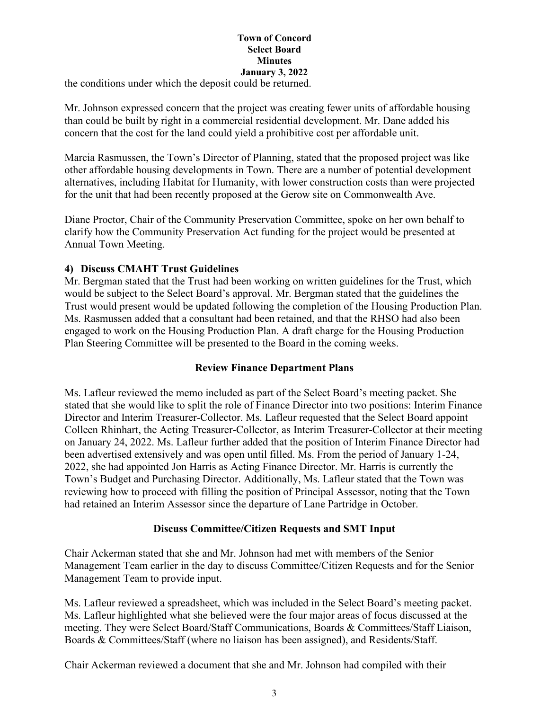the conditions under which the deposit could be returned.

Mr. Johnson expressed concern that the project was creating fewer units of affordable housing than could be built by right in a commercial residential development. Mr. Dane added his concern that the cost for the land could yield a prohibitive cost per affordable unit.

Marcia Rasmussen, the Town's Director of Planning, stated that the proposed project was like other affordable housing developments in Town. There are a number of potential development alternatives, including Habitat for Humanity, with lower construction costs than were projected for the unit that had been recently proposed at the Gerow site on Commonwealth Ave.

Diane Proctor, Chair of the Community Preservation Committee, spoke on her own behalf to clarify how the Community Preservation Act funding for the project would be presented at Annual Town Meeting.

## **4) Discuss CMAHT Trust Guidelines**

Mr. Bergman stated that the Trust had been working on written guidelines for the Trust, which would be subject to the Select Board's approval. Mr. Bergman stated that the guidelines the Trust would present would be updated following the completion of the Housing Production Plan. Ms. Rasmussen added that a consultant had been retained, and that the RHSO had also been engaged to work on the Housing Production Plan. A draft charge for the Housing Production Plan Steering Committee will be presented to the Board in the coming weeks.

## **Review Finance Department Plans**

Ms. Lafleur reviewed the memo included as part of the Select Board's meeting packet. She stated that she would like to split the role of Finance Director into two positions: Interim Finance Director and Interim Treasurer-Collector. Ms. Lafleur requested that the Select Board appoint Colleen Rhinhart, the Acting Treasurer-Collector, as Interim Treasurer-Collector at their meeting on January 24, 2022. Ms. Lafleur further added that the position of Interim Finance Director had been advertised extensively and was open until filled. Ms. From the period of January 1-24, 2022, she had appointed Jon Harris as Acting Finance Director. Mr. Harris is currently the Town's Budget and Purchasing Director. Additionally, Ms. Lafleur stated that the Town was reviewing how to proceed with filling the position of Principal Assessor, noting that the Town had retained an Interim Assessor since the departure of Lane Partridge in October.

## **Discuss Committee/Citizen Requests and SMT Input**

Chair Ackerman stated that she and Mr. Johnson had met with members of the Senior Management Team earlier in the day to discuss Committee/Citizen Requests and for the Senior Management Team to provide input.

Ms. Lafleur reviewed a spreadsheet, which was included in the Select Board's meeting packet. Ms. Lafleur highlighted what she believed were the four major areas of focus discussed at the meeting. They were Select Board/Staff Communications, Boards & Committees/Staff Liaison, Boards & Committees/Staff (where no liaison has been assigned), and Residents/Staff.

Chair Ackerman reviewed a document that she and Mr. Johnson had compiled with their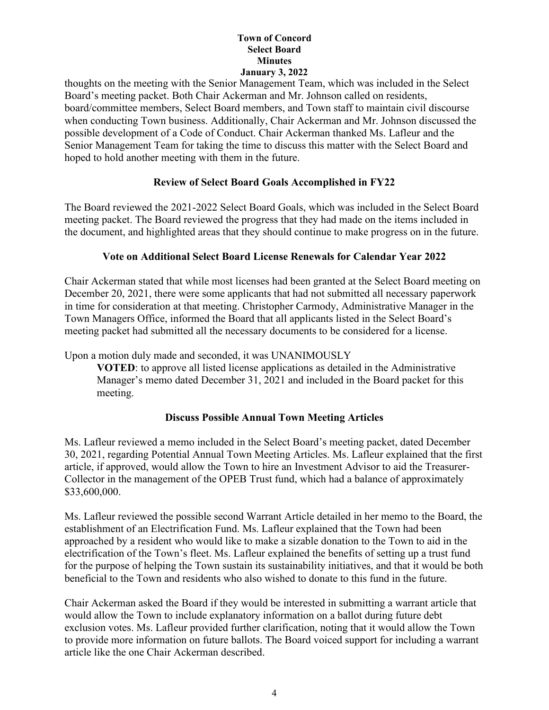thoughts on the meeting with the Senior Management Team, which was included in the Select Board's meeting packet. Both Chair Ackerman and Mr. Johnson called on residents, board/committee members, Select Board members, and Town staff to maintain civil discourse when conducting Town business. Additionally, Chair Ackerman and Mr. Johnson discussed the possible development of a Code of Conduct. Chair Ackerman thanked Ms. Lafleur and the Senior Management Team for taking the time to discuss this matter with the Select Board and hoped to hold another meeting with them in the future.

## **Review of Select Board Goals Accomplished in FY22**

The Board reviewed the 2021-2022 Select Board Goals, which was included in the Select Board meeting packet. The Board reviewed the progress that they had made on the items included in the document, and highlighted areas that they should continue to make progress on in the future.

## **Vote on Additional Select Board License Renewals for Calendar Year 2022**

Chair Ackerman stated that while most licenses had been granted at the Select Board meeting on December 20, 2021, there were some applicants that had not submitted all necessary paperwork in time for consideration at that meeting. Christopher Carmody, Administrative Manager in the Town Managers Office, informed the Board that all applicants listed in the Select Board's meeting packet had submitted all the necessary documents to be considered for a license.

Upon a motion duly made and seconded, it was UNANIMOUSLY

**VOTED**: to approve all listed license applications as detailed in the Administrative Manager's memo dated December 31, 2021 and included in the Board packet for this meeting.

## **Discuss Possible Annual Town Meeting Articles**

Ms. Lafleur reviewed a memo included in the Select Board's meeting packet, dated December 30, 2021, regarding Potential Annual Town Meeting Articles. Ms. Lafleur explained that the first article, if approved, would allow the Town to hire an Investment Advisor to aid the Treasurer-Collector in the management of the OPEB Trust fund, which had a balance of approximately \$33,600,000.

Ms. Lafleur reviewed the possible second Warrant Article detailed in her memo to the Board, the establishment of an Electrification Fund. Ms. Lafleur explained that the Town had been approached by a resident who would like to make a sizable donation to the Town to aid in the electrification of the Town's fleet. Ms. Lafleur explained the benefits of setting up a trust fund for the purpose of helping the Town sustain its sustainability initiatives, and that it would be both beneficial to the Town and residents who also wished to donate to this fund in the future.

Chair Ackerman asked the Board if they would be interested in submitting a warrant article that would allow the Town to include explanatory information on a ballot during future debt exclusion votes. Ms. Lafleur provided further clarification, noting that it would allow the Town to provide more information on future ballots. The Board voiced support for including a warrant article like the one Chair Ackerman described.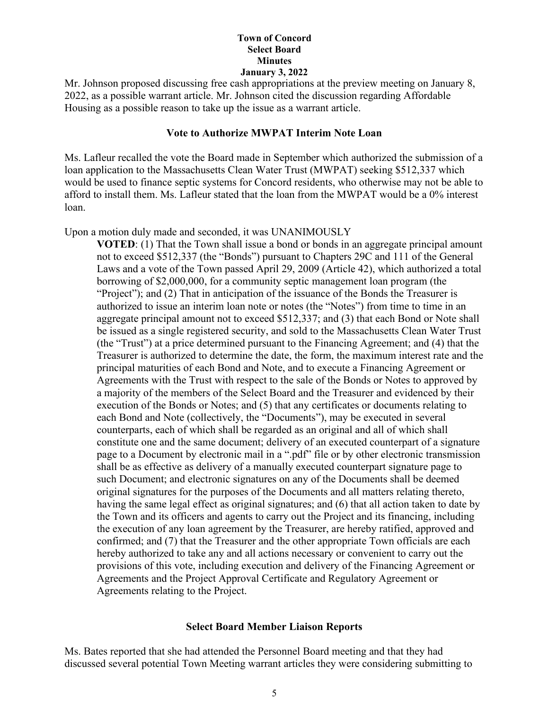Mr. Johnson proposed discussing free cash appropriations at the preview meeting on January 8, 2022, as a possible warrant article. Mr. Johnson cited the discussion regarding Affordable Housing as a possible reason to take up the issue as a warrant article.

#### **Vote to Authorize MWPAT Interim Note Loan**

Ms. Lafleur recalled the vote the Board made in September which authorized the submission of a loan application to the Massachusetts Clean Water Trust (MWPAT) seeking \$512,337 which would be used to finance septic systems for Concord residents, who otherwise may not be able to afford to install them. Ms. Lafleur stated that the loan from the MWPAT would be a 0% interest loan.

Upon a motion duly made and seconded, it was UNANIMOUSLY

**VOTED**: (1) That the Town shall issue a bond or bonds in an aggregate principal amount not to exceed \$512,337 (the "Bonds") pursuant to Chapters 29C and 111 of the General Laws and a vote of the Town passed April 29, 2009 (Article 42), which authorized a total borrowing of \$2,000,000, for a community septic management loan program (the "Project"); and (2) That in anticipation of the issuance of the Bonds the Treasurer is authorized to issue an interim loan note or notes (the "Notes") from time to time in an aggregate principal amount not to exceed \$512,337; and (3) that each Bond or Note shall be issued as a single registered security, and sold to the Massachusetts Clean Water Trust (the "Trust") at a price determined pursuant to the Financing Agreement; and (4) that the Treasurer is authorized to determine the date, the form, the maximum interest rate and the principal maturities of each Bond and Note, and to execute a Financing Agreement or Agreements with the Trust with respect to the sale of the Bonds or Notes to approved by a majority of the members of the Select Board and the Treasurer and evidenced by their execution of the Bonds or Notes; and (5) that any certificates or documents relating to each Bond and Note (collectively, the "Documents"), may be executed in several counterparts, each of which shall be regarded as an original and all of which shall constitute one and the same document; delivery of an executed counterpart of a signature page to a Document by electronic mail in a ".pdf" file or by other electronic transmission shall be as effective as delivery of a manually executed counterpart signature page to such Document; and electronic signatures on any of the Documents shall be deemed original signatures for the purposes of the Documents and all matters relating thereto, having the same legal effect as original signatures; and (6) that all action taken to date by the Town and its officers and agents to carry out the Project and its financing, including the execution of any loan agreement by the Treasurer, are hereby ratified, approved and confirmed; and (7) that the Treasurer and the other appropriate Town officials are each hereby authorized to take any and all actions necessary or convenient to carry out the provisions of this vote, including execution and delivery of the Financing Agreement or Agreements and the Project Approval Certificate and Regulatory Agreement or Agreements relating to the Project.

#### **Select Board Member Liaison Reports**

Ms. Bates reported that she had attended the Personnel Board meeting and that they had discussed several potential Town Meeting warrant articles they were considering submitting to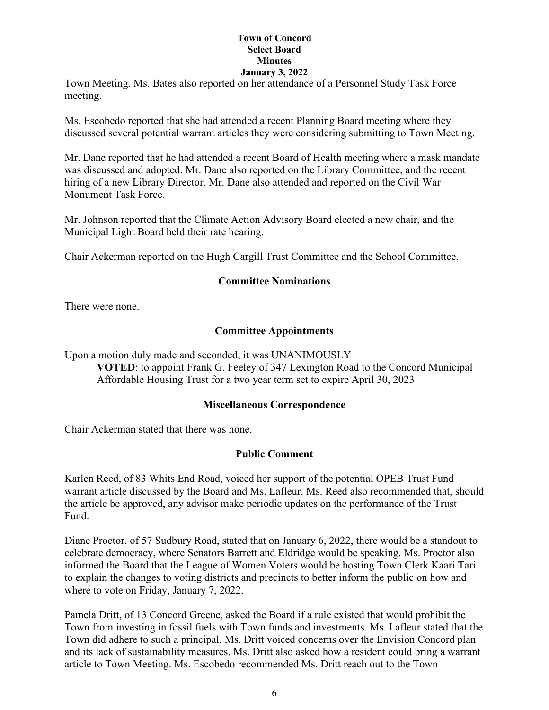Town Meeting. Ms. Bates also reported on her attendance of a Personnel Study Task Force meeting.

Ms. Escobedo reported that she had attended a recent Planning Board meeting where they discussed several potential warrant articles they were considering submitting to Town Meeting.

Mr. Dane reported that he had attended a recent Board of Health meeting where a mask mandate was discussed and adopted. Mr. Dane also reported on the Library Committee, and the recent hiring of a new Library Director. Mr. Dane also attended and reported on the Civil War Monument Task Force.

Mr. Johnson reported that the Climate Action Advisory Board elected a new chair, and the Municipal Light Board held their rate hearing.

Chair Ackerman reported on the Hugh Cargill Trust Committee and the School Committee.

#### **Committee Nominations**

There were none.

#### **Committee Appointments**

Upon a motion duly made and seconded, it was UNANIMOUSLY **VOTED**: to appoint Frank G. Feeley of 347 Lexington Road to the Concord Municipal Affordable Housing Trust for a two year term set to expire April 30, 2023

#### **Miscellaneous Correspondence**

Chair Ackerman stated that there was none.

#### **Public Comment**

Karlen Reed, of 83 Whits End Road, voiced her support of the potential OPEB Trust Fund warrant article discussed by the Board and Ms. Lafleur. Ms. Reed also recommended that, should the article be approved, any advisor make periodic updates on the performance of the Trust Fund.

Diane Proctor, of 57 Sudbury Road, stated that on January 6, 2022, there would be a standout to celebrate democracy, where Senators Barrett and Eldridge would be speaking. Ms. Proctor also informed the Board that the League of Women Voters would be hosting Town Clerk Kaari Tari to explain the changes to voting districts and precincts to better inform the public on how and where to vote on Friday, January 7, 2022.

Pamela Dritt, of 13 Concord Greene, asked the Board if a rule existed that would prohibit the Town from investing in fossil fuels with Town funds and investments. Ms. Lafleur stated that the Town did adhere to such a principal. Ms. Dritt voiced concerns over the Envision Concord plan and its lack of sustainability measures. Ms. Dritt also asked how a resident could bring a warrant article to Town Meeting. Ms. Escobedo recommended Ms. Dritt reach out to the Town